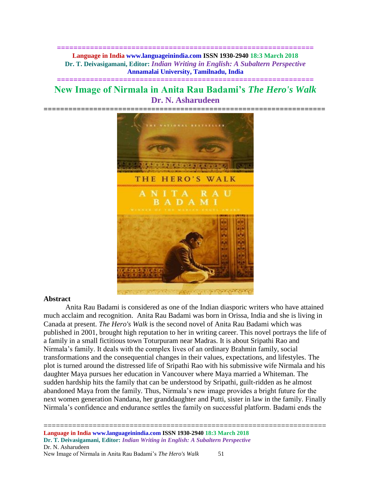**============================================================== Language in India www.languageinindia.com ISSN 1930-2940 18:3 March 2018 Dr. T. Deivasigamani, Editor:** *Indian Writing in English: A Subaltern Perspective* **Annamalai University, Tamilnadu, India**

# **New Image of Nirmala in Anita Rau Badami's** *The Hero's Walk* **Dr. N. Asharudeen**

**==============================================================**



#### **Abstract**

Anita Rau Badami is considered as one of the Indian diasporic writers who have attained much acclaim and recognition. Anita Rau Badami was born in Orissa, India and she is living in Canada at present. *The Hero's Walk* is the second novel of Anita Rau Badami which was published in 2001, brought high reputation to her in writing career. This novel portrays the life of a family in a small fictitious town Toturpuram near Madras. It is about Sripathi Rao and Nirmala's family. It deals with the complex lives of an ordinary Brahmin family, social transformations and the consequential changes in their values, expectations, and lifestyles. The plot is turned around the distressed life of Sripathi Rao with his submissive wife Nirmala and his daughter Maya pursues her education in Vancouver where Maya married a Whiteman. The sudden hardship hits the family that can be understood by Sripathi, guilt-ridden as he almost abandoned Maya from the family. Thus, Nirmala's new image provides a bright future for the next women generation Nandana, her granddaughter and Putti, sister in law in the family. Finally Nirmala's confidence and endurance settles the family on successful platform. Badami ends the

=====================================================================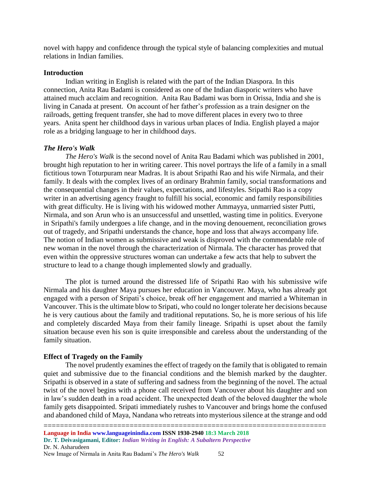novel with happy and confidence through the typical style of balancing complexities and mutual relations in Indian families.

## **Introduction**

Indian writing in English is related with the part of the Indian Diaspora. In this connection, Anita Rau Badami is considered as one of the Indian diasporic writers who have attained much acclaim and recognition. Anita Rau Badami was born in Orissa, India and she is living in Canada at present. On account of her father's profession as a train designer on the railroads, getting frequent transfer, she had to move different places in every two to three years. Anita spent her childhood days in various urban places of India. English played a major role as a bridging language to her in childhood days.

## *The Hero's Walk*

*The Hero's Walk* is the second novel of Anita Rau Badami which was published in 2001, brought high reputation to her in writing career. This novel portrays the life of a family in a small fictitious town Toturpuram near Madras. It is about Sripathi Rao and his wife Nirmala, and their family. It deals with the complex lives of an ordinary Brahmin family, social transformations and the consequential changes in their values, expectations, and lifestyles. Sripathi Rao is a copy writer in an advertising agency fraught to fulfill his social, economic and family responsibilities with great difficulty. He is living with his widowed mother Ammayya, unmarried sister Putti, Nirmala, and son Arun who is an unsuccessful and unsettled, wasting time in politics. Everyone in Sripathi's family undergoes a life change, and in the moving denouement, reconciliation grows out of tragedy, and Sripathi understands the chance, hope and loss that always accompany life. The notion of Indian women as submissive and weak is disproved with the commendable role of new woman in the novel through the characterization of Nirmala. The character has proved that even within the oppressive structures woman can undertake a few acts that help to subvert the structure to lead to a change though implemented slowly and gradually.

The plot is turned around the distressed life of Sripathi Rao with his submissive wife Nirmala and his daughter Maya pursues her education in Vancouver. Maya, who has already got engaged with a person of Sripati's choice, break off her engagement and married a Whiteman in Vancouver. This is the ultimate blow to Sripati, who could no longer tolerate her decisions because he is very cautious about the family and traditional reputations. So, he is more serious of his life and completely discarded Maya from their family lineage. Sripathi is upset about the family situation because even his son is quite irresponsible and careless about the understanding of the family situation.

## **Effect of Tragedy on the Family**

The novel prudently examines the effect of tragedy on the family that is obligated to remain quiet and submissive due to the financial conditions and the blemish marked by the daughter. Sripathi is observed in a state of suffering and sadness from the beginning of the novel. The actual twist of the novel begins with a phone call received from Vancouver about his daughter and son in law's sudden death in a road accident. The unexpected death of the beloved daughter the whole family gets disappointed. Sripati immediately rushes to Vancouver and brings home the confused and abandoned child of Maya, Nandana who retreats into mysterious silence at the strange and odd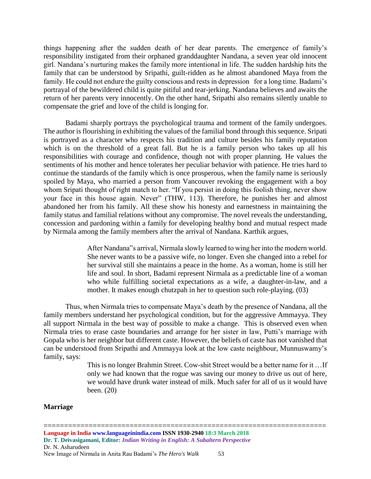things happening after the sudden death of her dear parents. The emergence of family's responsibility instigated from their orphaned granddaughter Nandana, a seven year old innocent girl. Nandana's nurturing makes the family more intentional in life. The sudden hardship hits the family that can be understood by Sripathi, guilt-ridden as he almost abandoned Maya from the family. He could not endure the guilty conscious and rests in depression for a long time. Badami's portrayal of the bewildered child is quite pitiful and tear-jerking. Nandana believes and awaits the return of her parents very innocently. On the other hand, Sripathi also remains silently unable to compensate the grief and love of the child is longing for.

Badami sharply portrays the psychological trauma and torment of the family undergoes. The author is flourishing in exhibiting the values of the familial bond through this sequence. Sripati is portrayed as a character who respects his tradition and culture besides his family reputation which is on the threshold of a great fall. But he is a family person who takes up all his responsibilities with courage and confidence, though not with proper planning. He values the sentiments of his mother and hence tolerates her peculiar behavior with patience. He tries hard to continue the standards of the family which is once prosperous, when the family name is seriously spoiled by Maya, who married a person from Vancouver revoking the engagement with a boy whom Sripati thought of right match to her. "If you persist in doing this foolish thing, never show your face in this house again. Never" (THW, 113). Therefore, he punishes her and almost abandoned her from his family. All these show his honesty and earnestness in maintaining the family status and familial relations without any compromise. The novel reveals the understanding, concession and pardoning within a family for developing healthy bond and mutual respect made by Nirmala among the family members after the arrival of Nandana. Karthik argues,

> After Nandana"s arrival, Nirmala slowly learned to wing her into the modern world. She never wants to be a passive wife, no longer. Even she changed into a rebel for her survival still she maintains a peace in the home. As a woman, home is still her life and soul. In short, Badami represent Nirmala as a predictable line of a woman who while fulfilling societal expectations as a wife, a daughter-in-law, and a mother. It makes enough chutzpah in her to question such role-playing. (03)

Thus, when Nirmala tries to compensate Maya's death by the presence of Nandana, all the family members understand her psychological condition, but for the aggressive Ammayya. They all support Nirmala in the best way of possible to make a change. This is observed even when Nirmala tries to erase caste boundaries and arrange for her sister in law, Putti's marriage with Gopala who is her neighbor but different caste. However, the beliefs of caste has not vanished that can be understood from Sripathi and Ammayya look at the low caste neighbour, Munnuswamy's family, says:

> This is no longer Brahmin Street. Cow-shit Street would be a better name for it …If only we had known that the rogue was saving our money to drive us out of here, we would have drunk water instead of milk. Much safer for all of us it would have been. (20)

#### **Marriage**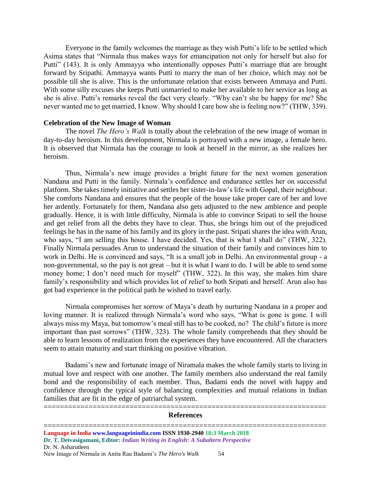Everyone in the family welcomes the marriage as they wish Putti's life to be settled which Asima states that "Nirmala thus makes ways for emancipation not only for herself but also for Putti" (143). It is only Ammayya who intentionally opposes Putti's marriage that are brought forward by Sripathi. Ammayya wants Putti to marry the man of her choice, which may not be possible till she is alive. This is the unfortunate relation that exists between Ammaya and Putti. With some silly excuses she keeps Putti unmarried to make her available to her service as long as she is alive. Putti's remarks reveal the fact very clearly. "Why can't she be happy for me? She never wanted me to get married, I know. Why should I care how she is feeling now?" (THW, 339).

#### **Celebration of the New Image of Woman**

The novel *The Hero's Walk* is totally about the celebration of the new image of woman in day-to-day heroism. In this development, Nirmala is portrayed with a new image, a female hero. It is observed that Nirmala has the courage to look at herself in the mirror, as she realizes her heroism.

Thus, Nirmala's new image provides a bright future for the next women generation Nandana and Putti in the family. Nirmala's confidence and endurance settles her on successful platform. She takes timely initiative and settles her sister-in-law's life with Gopal, their neighbour. She comforts Nandana and ensures that the people of the house take proper care of her and love her ardently. Fortunately for them, Nandana also gets adjusted to the new ambience and people gradually. Hence, it is with little difficulty, Nirmala is able to convince Sripati to sell the house and get relief from all the debts they have to clear. Thus, she brings him out of the prejudiced feelings he has in the name of his family and its glory in the past. Sripati shares the idea with Arun, who says, "I am selling this house. I have decided. Yes, that is what I shall do" (THW, 322). Finally Nirmala persuades Arun to understand the situation of their family and convinces him to work in Delhi. He is convinced and says, "It is a small job in Delhi. An environmental group - a non-governmental, so the pay is not great – but it is what I want to do. I will be able to send some money home; I don't need much for myself" (THW, 322). In this way, she makes him share family's responsibility and which provides lot of relief to both Sripati and herself. Arun also has got bad experience in the political path he wished to travel early.

Nirmala compromises her sorrow of Maya's death by nurturing Nandana in a proper and loving manner. It is realized through Nirmala's word who says, "What is gone is gone. I will always miss my Maya, but tomorrow's meal still has to be cooked, no? The child's future is more important than past sorrows" (THW, 323). The whole family comprehends that they should be able to learn lessons of realization from the experiences they have encountered. All the characters seem to attain maturity and start thinking on positive vibration.

Badami's new and fortunate image of Niramala makes the whole family starts to living in mutual love and respect with one another. The family members also understand the real family bond and the responsibility of each member. Thus, Badami ends the novel with happy and confidence through the typical style of balancing complexities and mutual relations in Indian families that are fit in the edge of patriarchal system.

#### ===================================================================== **References**